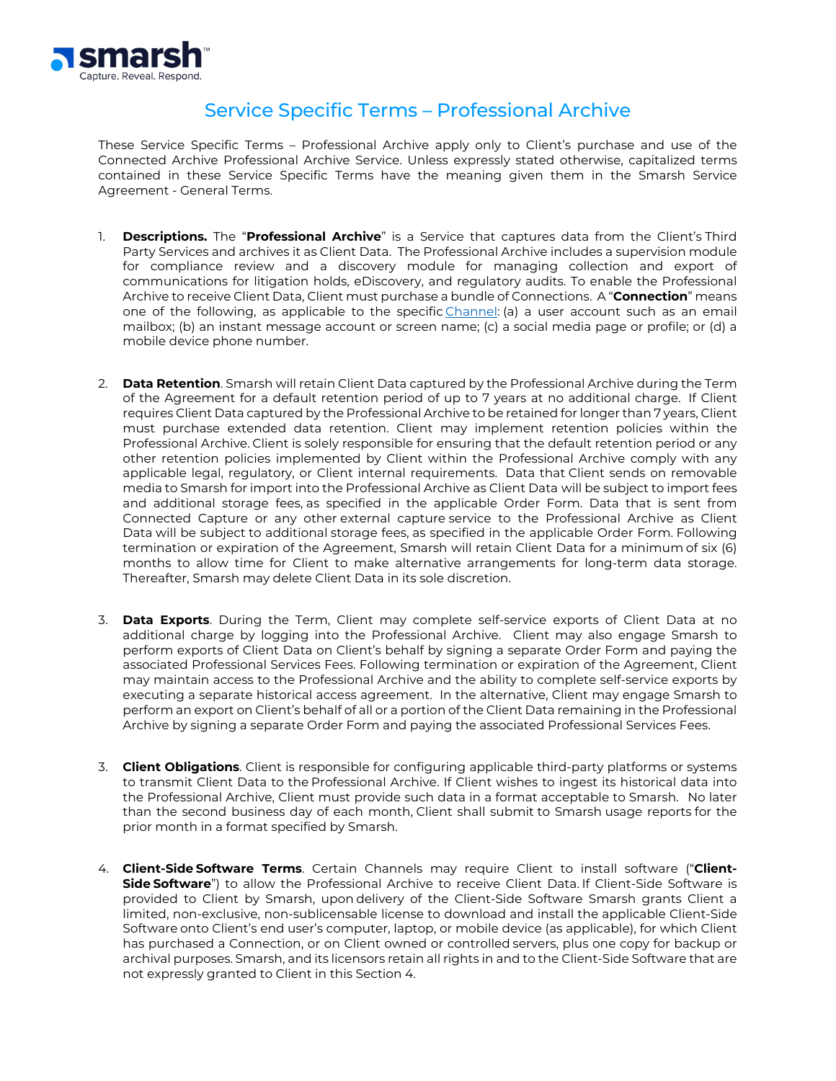

## Service Specific Terms – Professional Archive

These Service Specific Terms – Professional Archive apply only to Client's purchase and use of the Connected Archive Professional Archive Service. Unless expressly stated otherwise, capitalized terms contained in these Service Specific Terms have the meaning given them in the Smarsh Service Agreement - General Terms.

- 1. **Descriptions.** The "**Professional Archive**" is a Service that captures data from the Client's Third Party Services and archives it as Client Data. The Professional Archive includes a supervision module for compliance review and a discovery module for managing collection and export of communications for litigation holds, eDiscovery, and regulatory audits. To enable the Professional Archive to receive Client Data, Client must purchase a bundle of Connections. A "**Connection**" means one of the following, as applicable to the specific [Channel:](https://smarsh.com/products/connected-capture/all-supported-channels/) (a) a user account such as an email mailbox; (b) an instant message account or screen name; (c) a social media page or profile; or (d) a mobile device phone number.
- 2. **Data Retention**. Smarsh will retain Client Data captured by the Professional Archive during the Term of the Agreement for a default retention period of up to 7 years at no additional charge. If Client requires Client Data captured by the Professional Archive to be retained for longer than 7 years, Client must purchase extended data retention. Client may implement retention policies within the Professional Archive. Client is solely responsible for ensuring that the default retention period or any other retention policies implemented by Client within the Professional Archive comply with any applicable legal, regulatory, or Client internal requirements. Data that Client sends on removable media to Smarsh for import into the Professional Archive as Client Data will be subject to import fees and additional storage fees, as specified in the applicable Order Form. Data that is sent from Connected Capture or any other external capture service to the Professional Archive as Client Data will be subject to additional storage fees, as specified in the applicable Order Form. Following termination or expiration of the Agreement, Smarsh will retain Client Data for a minimum of six (6) months to allow time for Client to make alternative arrangements for long-term data storage. Thereafter, Smarsh may delete Client Data in its sole discretion.
- 3. **Data Exports**. During the Term, Client may complete self-service exports of Client Data at no additional charge by logging into the Professional Archive. Client may also engage Smarsh to perform exports of Client Data on Client's behalf by signing a separate Order Form and paying the associated Professional Services Fees. Following termination or expiration of the Agreement, Client may maintain access to the Professional Archive and the ability to complete self-service exports by executing a separate historical access agreement. In the alternative, Client may engage Smarsh to perform an export on Client's behalf of all or a portion of the Client Data remaining in the Professional Archive by signing a separate Order Form and paying the associated Professional Services Fees.
- 3. **Client Obligations**. Client is responsible for configuring applicable third-party platforms or systems to transmit Client Data to the Professional Archive. If Client wishes to ingest its historical data into the Professional Archive, Client must provide such data in a format acceptable to Smarsh. No later than the second business day of each month, Client shall submit to Smarsh usage reports for the prior month in a format specified by Smarsh.
- 4. **Client-Side Software Terms**. Certain Channels may require Client to install software ("**Client-Side Software**") to allow the Professional Archive to receive Client Data. If Client-Side Software is provided to Client by Smarsh, upon delivery of the Client-Side Software Smarsh grants Client a limited, non-exclusive, non-sublicensable license to download and install the applicable Client-Side Software onto Client's end user's computer, laptop, or mobile device (as applicable), for which Client has purchased a Connection, or on Client owned or controlled servers, plus one copy for backup or archival purposes. Smarsh, and its licensors retain all rights in and to the Client-Side Software that are not expressly granted to Client in this Section 4.